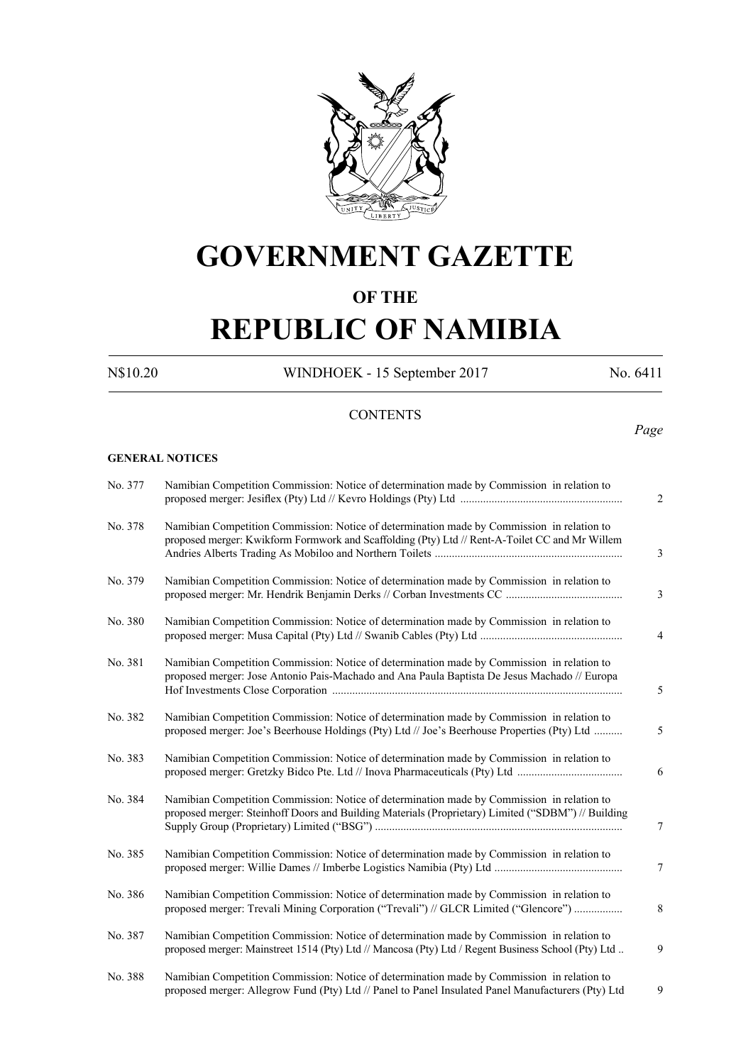

# **GOVERNMENT GAZETTE**

## **OF THE**

# **REPUBLIC OF NAMIBIA**

N\$10.20 WINDHOEK - 15 September 2017 No. 6411

### **CONTENTS**

## *Page*

#### **GENERAL NOTICES**

| No. 377 | Namibian Competition Commission: Notice of determination made by Commission in relation to                                                                                                       |
|---------|--------------------------------------------------------------------------------------------------------------------------------------------------------------------------------------------------|
| No. 378 | Namibian Competition Commission: Notice of determination made by Commission in relation to<br>proposed merger: Kwikform Formwork and Scaffolding (Pty) Ltd // Rent-A-Toilet CC and Mr Willem     |
| No. 379 | Namibian Competition Commission: Notice of determination made by Commission in relation to                                                                                                       |
| No. 380 | Namibian Competition Commission: Notice of determination made by Commission in relation to                                                                                                       |
| No. 381 | Namibian Competition Commission: Notice of determination made by Commission in relation to<br>proposed merger: Jose Antonio Pais-Machado and Ana Paula Baptista De Jesus Machado // Europa       |
| No. 382 | Namibian Competition Commission: Notice of determination made by Commission in relation to<br>proposed merger: Joe's Beerhouse Holdings (Pty) Ltd // Joe's Beerhouse Properties (Pty) Ltd        |
| No. 383 | Namibian Competition Commission: Notice of determination made by Commission in relation to                                                                                                       |
| No. 384 | Namibian Competition Commission: Notice of determination made by Commission in relation to<br>proposed merger: Steinhoff Doors and Building Materials (Proprietary) Limited ("SDBM") // Building |
| No. 385 | Namibian Competition Commission: Notice of determination made by Commission in relation to                                                                                                       |
| No. 386 | Namibian Competition Commission: Notice of determination made by Commission in relation to<br>proposed merger: Trevali Mining Corporation ("Trevali") // GLCR Limited ("Glencore")               |
| No. 387 | Namibian Competition Commission: Notice of determination made by Commission in relation to<br>proposed merger: Mainstreet 1514 (Pty) Ltd // Mancosa (Pty) Ltd / Regent Business School (Pty) Ltd |
| No. 388 | Namibian Competition Commission: Notice of determination made by Commission in relation to<br>proposed merger: Allegrow Fund (Pty) Ltd // Panel to Panel Insulated Panel Manufacturers (Pty) Ltd |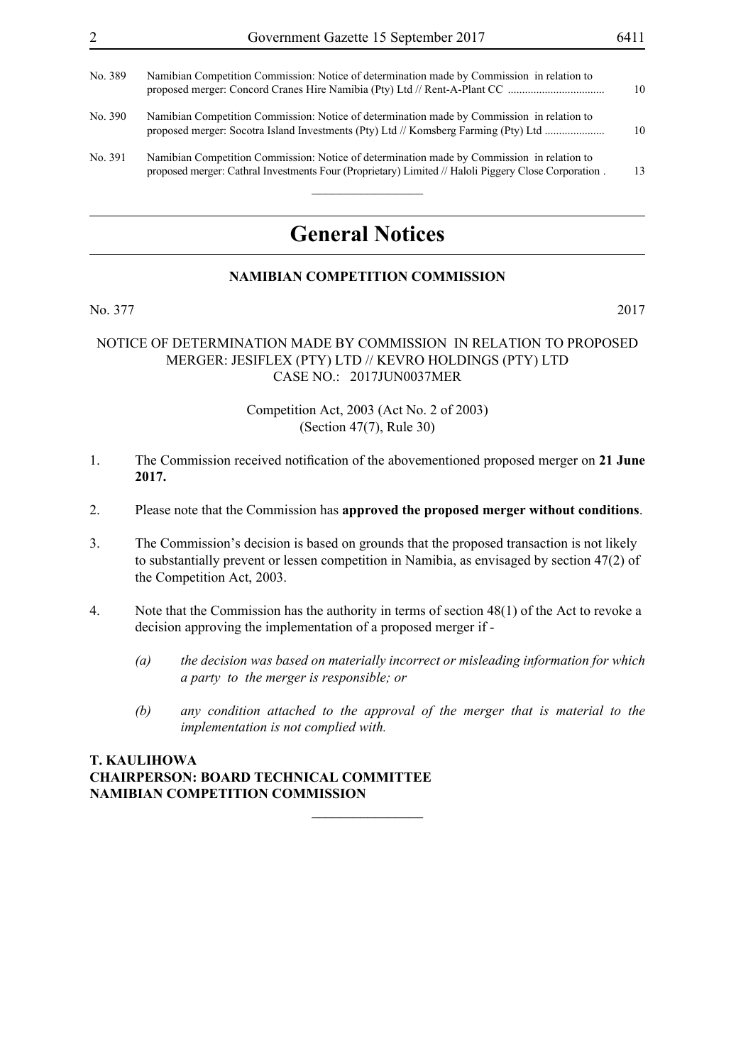| No. 389 | Namibian Competition Commission: Notice of determination made by Commission in relation to                                                                                                         | 10 |
|---------|----------------------------------------------------------------------------------------------------------------------------------------------------------------------------------------------------|----|
| No. 390 | Namibian Competition Commission: Notice of determination made by Commission in relation to<br>proposed merger: Socotra Island Investments (Pty) Ltd // Komsberg Farming (Pty) Ltd                  | 10 |
| No. 391 | Namibian Competition Commission: Notice of determination made by Commission in relation to<br>proposed merger: Cathral Investments Four (Proprietary) Limited // Haloli Piggery Close Corporation. | 13 |

# **General Notices**

#### **NAMIBIAN COMPETITION COMMISSION**

No. 377 2017

#### NOTICE OF DETERMINATION MADE BY COMMISSION IN RELATION TO PROPOSED MERGER: JESIFLEX (PTY) LTD // KEVRO HOLDINGS (PTY) LTD CASE NO.: 2017JUN0037MER

#### Competition Act, 2003 (Act No. 2 of 2003) (Section 47(7), Rule 30)

- 1. The Commission received notification of the abovementioned proposed merger on **21 June 2017.**
- 2. Please note that the Commission has **approved the proposed merger without conditions**.
- 3. The Commission's decision is based on grounds that the proposed transaction is not likely to substantially prevent or lessen competition in Namibia, as envisaged by section 47(2) of the Competition Act, 2003.
- 4. Note that the Commission has the authority in terms of section 48(1) of the Act to revoke a decision approving the implementation of a proposed merger if -

 $\frac{1}{2}$ 

- *(a) the decision was based on materially incorrect or misleading information for which a party to the merger is responsible; or*
- *(b) any condition attached to the approval of the merger that is material to the implementation is not complied with.*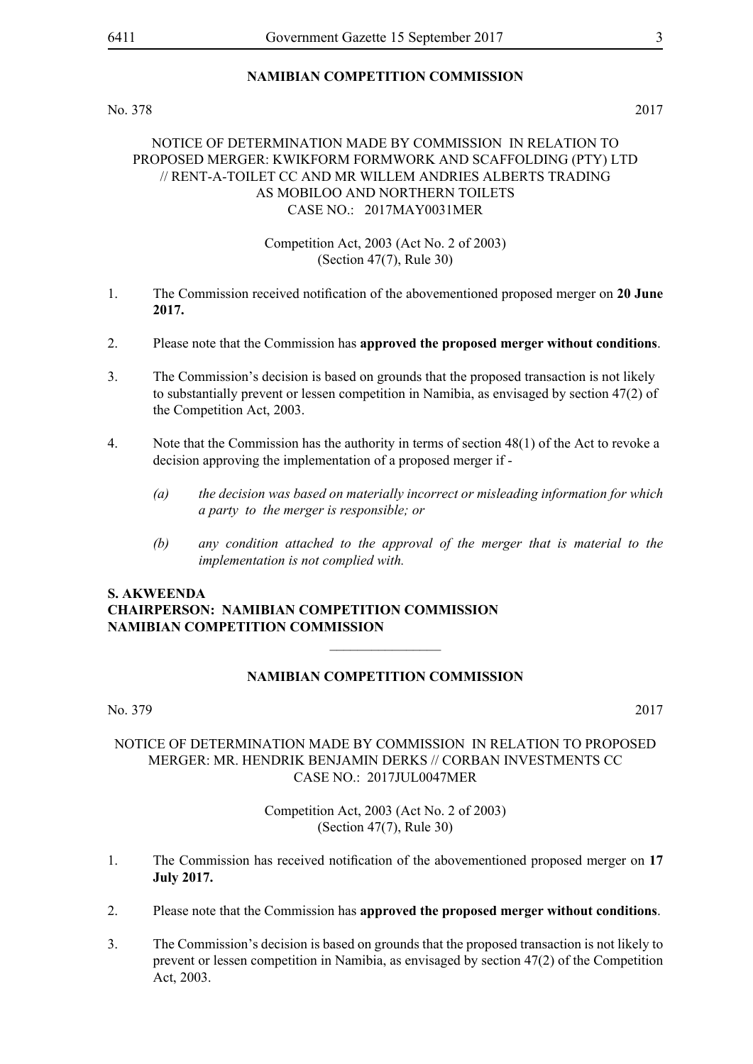No. 378 2017

#### NOTICE OF DETERMINATION MADE BY COMMISSION IN RELATION TO PROPOSED MERGER: KWIKFORM FORMWORK AND SCAFFOLDING (PTY) LTD // RENT-A-TOILET CC AND MR WILLEM ANDRIES ALBERTS TRADING AS MOBILOO AND NORTHERN TOILETS  $CASE NO· 2017MAY0031MER$

#### Competition Act, 2003 (Act No. 2 of 2003) (Section 47(7), Rule 30)

- 1. The Commission received notification of the abovementioned proposed merger on **20 June 2017.**
- 2. Please note that the Commission has **approved the proposed merger without conditions**.
- 3. The Commission's decision is based on grounds that the proposed transaction is not likely to substantially prevent or lessen competition in Namibia, as envisaged by section 47(2) of the Competition Act, 2003.
- 4. Note that the Commission has the authority in terms of section 48(1) of the Act to revoke a decision approving the implementation of a proposed merger if -
	- *(a) the decision was based on materially incorrect or misleading information for which a party to the merger is responsible; or*
	- *(b) any condition attached to the approval of the merger that is material to the implementation is not complied with.*

### **S. Akweenda Chairperson: Namibian Competition Commission Namibian Competition Commission**

#### **NAMIBIAN COMPETITION COMMISSION**

 $\overline{\phantom{a}}$  , where  $\overline{\phantom{a}}$ 

No. 379 2017

#### NOTICE OF DETERMINATION MADE BY COMMISSION IN RELATION TO PROPOSED MERGER: MR. HENDRIK BENJAMIN DERKS // CORBAN INVESTMENTS CC CASE NO.: 2017JUL0047MER

- 1. The Commission has received notification of the abovementioned proposed merger on **17 July 2017.**
- 2. Please note that the Commission has **approved the proposed merger without conditions**.
- 3. The Commission's decision is based on grounds that the proposed transaction is not likely to prevent or lessen competition in Namibia, as envisaged by section 47(2) of the Competition Act, 2003.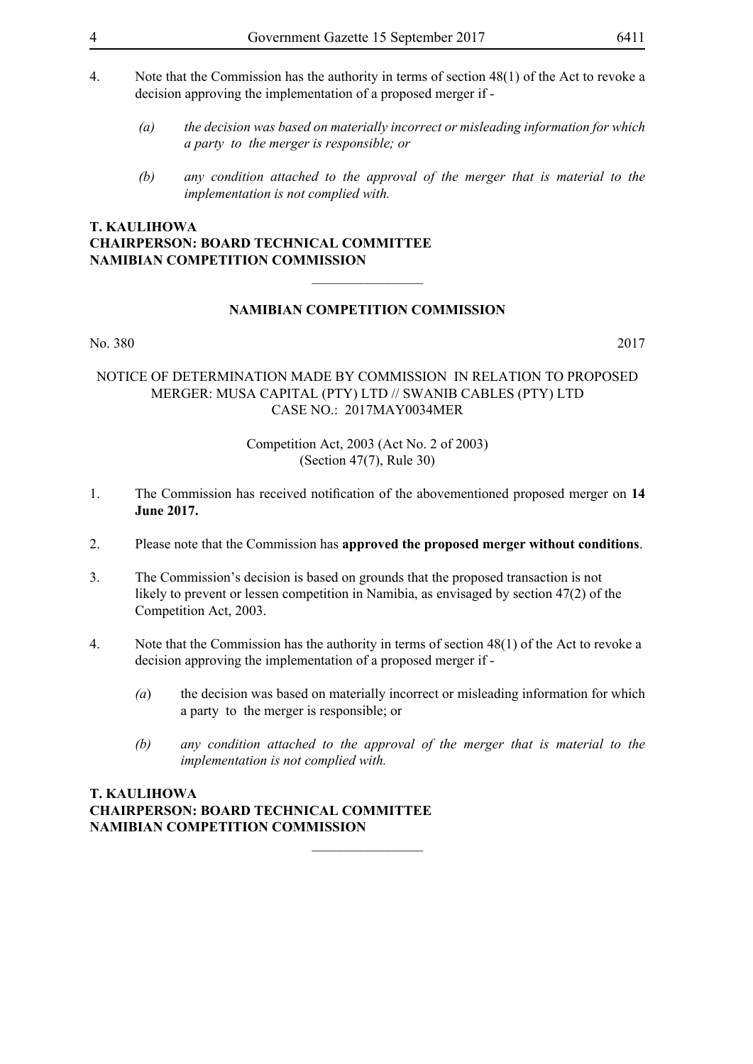- 4. Note that the Commission has the authority in terms of section 48(1) of the Act to revoke a decision approving the implementation of a proposed merger if -
	- *(a) the decision was based on materially incorrect or misleading information for which a party to the merger is responsible; or*
	- *(b) any condition attached to the approval of the merger that is material to the implementation is not complied with.*

#### **NAMIBIAN COMPETITION COMMISSION**

 $\overline{\phantom{a}}$  , where  $\overline{\phantom{a}}$ 

#### No. 380 2017

#### NOTICE OF DETERMINATION MADE BY COMMISSION IN RELATION TO PROPOSED MERGER: MUSA CAPITAL (PTY) LTD // SWANIB CABLES (PTY) LTD CASE NO.: 2017MAY0034MER

Competition Act, 2003 (Act No. 2 of 2003) (Section 47(7), Rule 30)

- 1. The Commission has received notification of the abovementioned proposed merger on **14 June 2017.**
- 2. Please note that the Commission has **approved the proposed merger without conditions**.
- 3. The Commission's decision is based on grounds that the proposed transaction is not likely to prevent or lessen competition in Namibia, as envisaged by section 47(2) of the Competition Act, 2003.
- 4. Note that the Commission has the authority in terms of section 48(1) of the Act to revoke a decision approving the implementation of a proposed merger if -

 $\overline{\phantom{a}}$  , where  $\overline{\phantom{a}}$ 

- *(a*) the decision was based on materially incorrect or misleading information for which a party to the merger is responsible; or
- *(b) any condition attached to the approval of the merger that is material to the implementation is not complied with.*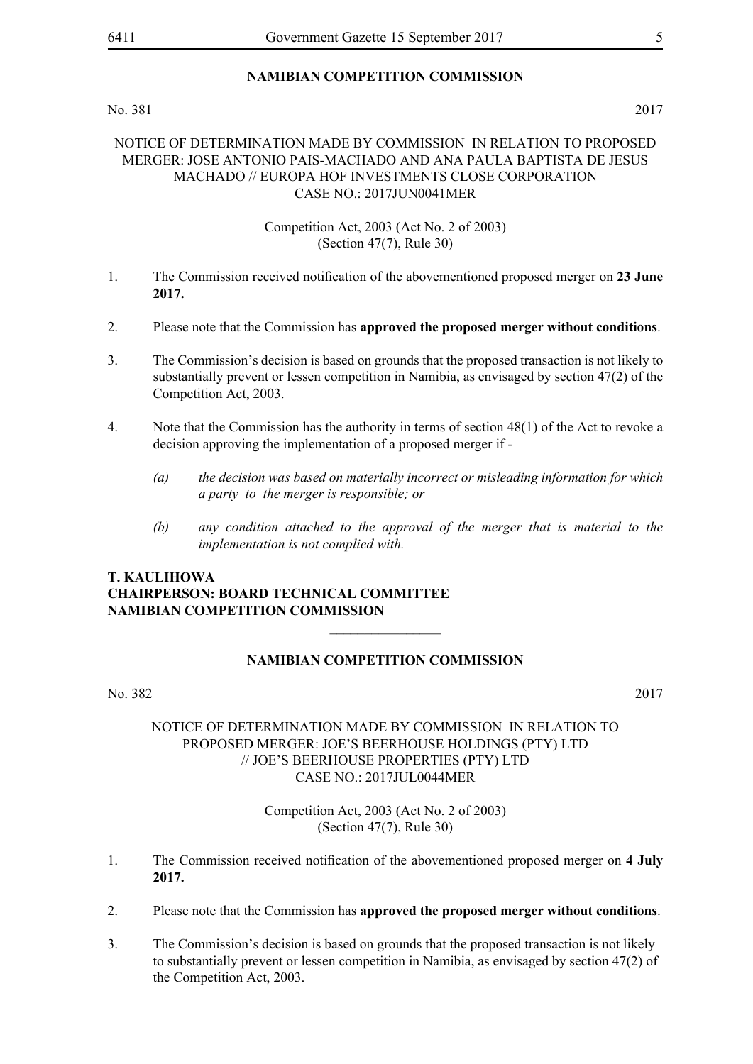#### No. 381 2017

#### NOTICE OF DETERMINATION MADE BY COMMISSION IN RELATION TO PROPOSED MERGER: JOSE ANTONIO PAIS-MACHADO AND ANA PAULA BAPTISTA DE JESUS MACHADO // EUROPA HOF INVESTMENTS CLOSE CORPORATION CASE NO.: 2017JUN0041MER

#### Competition Act, 2003 (Act No. 2 of 2003) (Section 47(7), Rule 30)

- 1. The Commission received notification of the abovementioned proposed merger on **23 June 2017.**
- 2. Please note that the Commission has **approved the proposed merger without conditions**.
- 3. The Commission's decision is based on grounds that the proposed transaction is not likely to substantially prevent or lessen competition in Namibia, as envisaged by section 47(2) of the Competition Act, 2003.
- 4. Note that the Commission has the authority in terms of section 48(1) of the Act to revoke a decision approving the implementation of a proposed merger if -
	- *(a) the decision was based on materially incorrect or misleading information for which a party to the merger is responsible; or*
	- *(b) any condition attached to the approval of the merger that is material to the implementation is not complied with.*

#### **T. Kaulihowa Chairperson: Board Technical Committee Namibian Competition Commission**

#### **NAMIBIAN COMPETITION COMMISSION**

 $\frac{1}{2}$ 

#### No. 382 2017

#### NOTICE OF DETERMINATION MADE BY COMMISSION IN RELATION TO PROPOSED MERGER: JOE'S BEERHOUSE HOLDINGS (PTY) LTD // JOE'S BEERHOUSE PROPERTIES (PTY) LTD CASE NO.: 2017JUL0044MER

- 1. The Commission received notification of the abovementioned proposed merger on **4 July 2017.**
- 2. Please note that the Commission has **approved the proposed merger without conditions**.
- 3. The Commission's decision is based on grounds that the proposed transaction is not likely to substantially prevent or lessen competition in Namibia, as envisaged by section 47(2) of the Competition Act, 2003.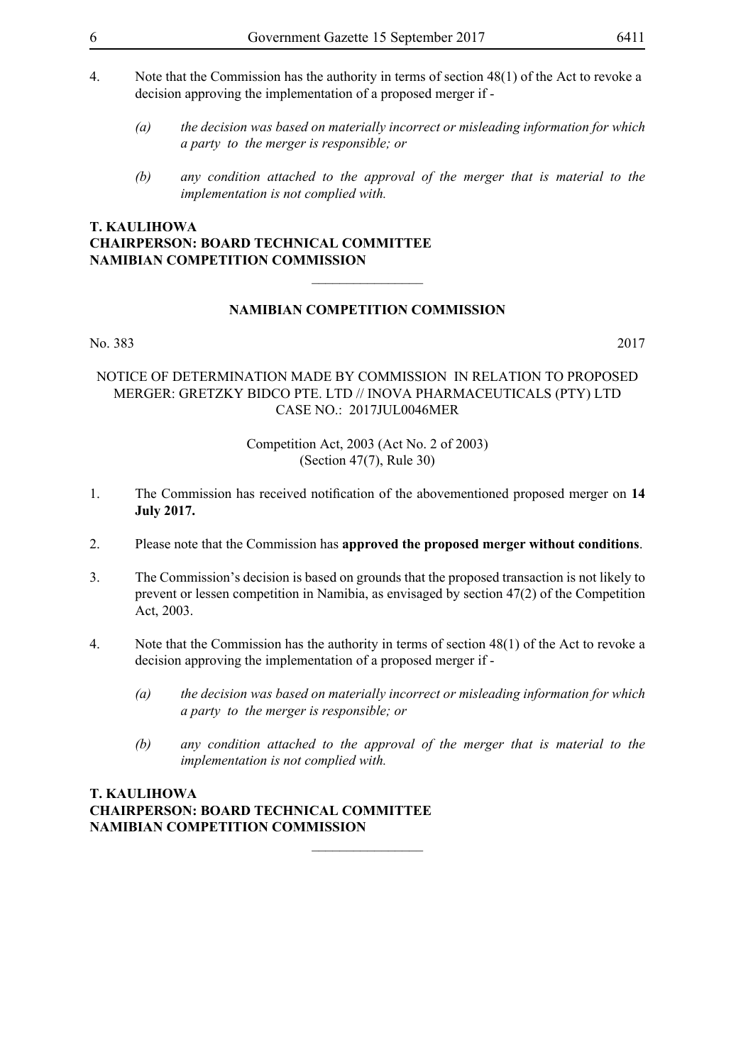- 4. Note that the Commission has the authority in terms of section 48(1) of the Act to revoke a decision approving the implementation of a proposed merger if -
	- *(a) the decision was based on materially incorrect or misleading information for which a party to the merger is responsible; or*
	- *(b) any condition attached to the approval of the merger that is material to the implementation is not complied with.*

#### **NAMIBIAN COMPETITION COMMISSION**

 $\overline{\phantom{a}}$  , where  $\overline{\phantom{a}}$ 

#### No. 383 2017

#### NOTICE OF DETERMINATION MADE BY COMMISSION IN RELATION TO PROPOSED MERGER: GRETZKY BIDCO PTE. LTD // INOVA PHARMACEUTICALS (PTY) LTD CASE NO.: 2017JUL0046MER

Competition Act, 2003 (Act No. 2 of 2003) (Section 47(7), Rule 30)

- 1. The Commission has received notification of the abovementioned proposed merger on **14 July 2017.**
- 2. Please note that the Commission has **approved the proposed merger without conditions**.
- 3. The Commission's decision is based on grounds that the proposed transaction is not likely to prevent or lessen competition in Namibia, as envisaged by section 47(2) of the Competition Act, 2003.
- 4. Note that the Commission has the authority in terms of section 48(1) of the Act to revoke a decision approving the implementation of a proposed merger if -

 $\overline{\phantom{a}}$  , where  $\overline{\phantom{a}}$ 

- *(a) the decision was based on materially incorrect or misleading information for which a party to the merger is responsible; or*
- *(b) any condition attached to the approval of the merger that is material to the implementation is not complied with.*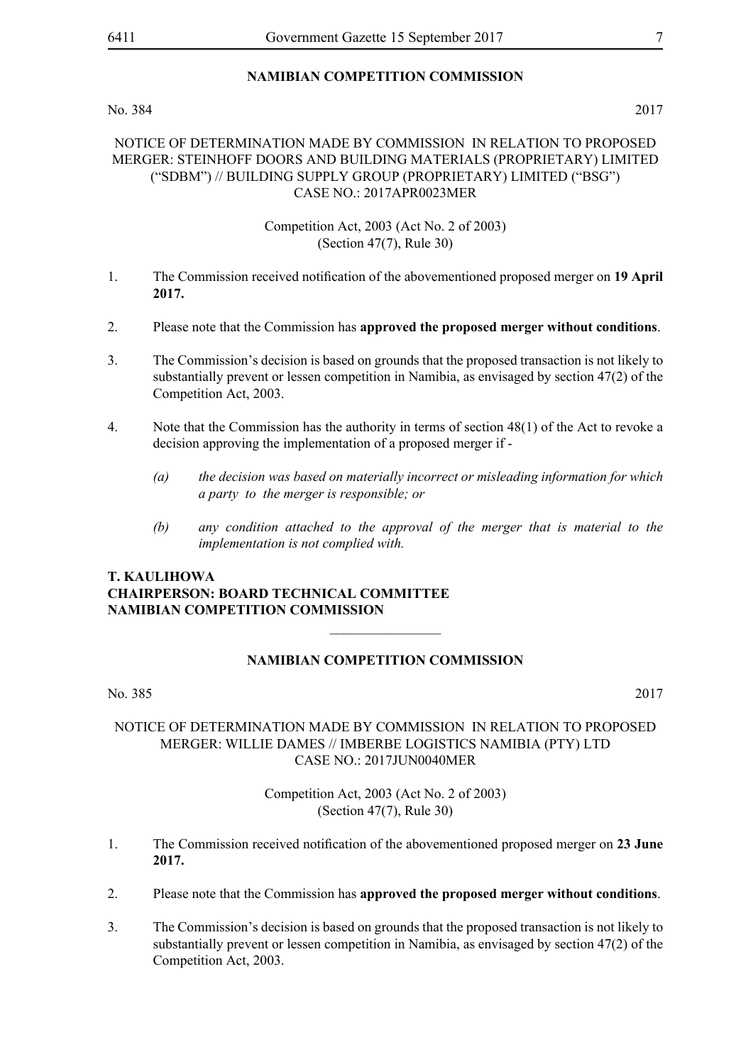No. 384 2017

#### NOTICE OF DETERMINATION MADE BY COMMISSION IN RELATION TO PROPOSED MERGER: STEINHOFF DOORS AND BUILDING MATERIALS (PROPRIETARY) LIMITED ("SDBM") // BUILDING SUPPLY GROUP (PROPRIETARY) LIMITED ("BSG") CASE NO.: 2017APR0023MER

#### Competition Act, 2003 (Act No. 2 of 2003) (Section 47(7), Rule 30)

- 1. The Commission received notification of the abovementioned proposed merger on **19 April 2017.**
- 2. Please note that the Commission has **approved the proposed merger without conditions**.
- 3. The Commission's decision is based on grounds that the proposed transaction is not likely to substantially prevent or lessen competition in Namibia, as envisaged by section 47(2) of the Competition Act, 2003.
- 4. Note that the Commission has the authority in terms of section 48(1) of the Act to revoke a decision approving the implementation of a proposed merger if -
	- *(a) the decision was based on materially incorrect or misleading information for which a party to the merger is responsible; or*
	- *(b) any condition attached to the approval of the merger that is material to the implementation is not complied with.*

### **T. Kaulihowa Chairperson: Board Technical Committee Namibian Competition Commission**

### **NAMIBIAN COMPETITION COMMISSION**

 $\overline{\phantom{a}}$  , where  $\overline{\phantom{a}}$ 

No. 385 2017

#### NOTICE OF DETERMINATION MADE BY COMMISSION IN RELATION TO PROPOSED MERGER: WILLIE DAMES // IMBERBE LOGISTICS NAMIBIA (PTY) LTD CASE NO $\cdot$  2017JUN0040MER

- 1. The Commission received notification of the abovementioned proposed merger on **23 June 2017.**
- 2. Please note that the Commission has **approved the proposed merger without conditions**.
- 3. The Commission's decision is based on grounds that the proposed transaction is not likely to substantially prevent or lessen competition in Namibia, as envisaged by section 47(2) of the Competition Act, 2003.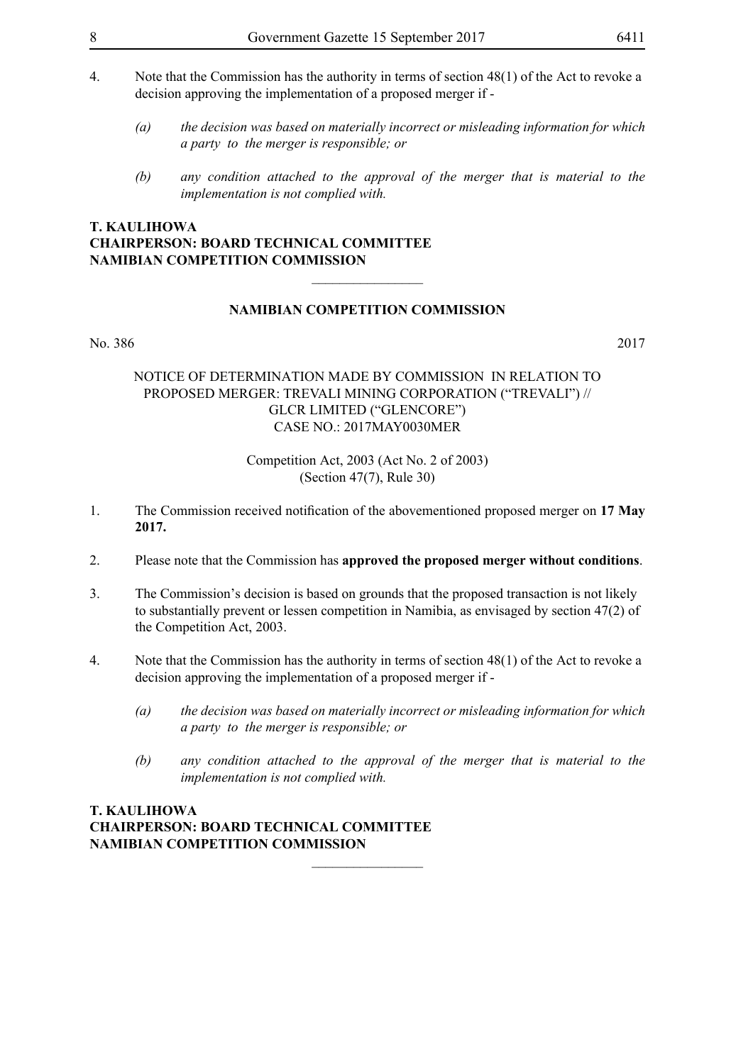- 4. Note that the Commission has the authority in terms of section 48(1) of the Act to revoke a decision approving the implementation of a proposed merger if -
	- *(a) the decision was based on materially incorrect or misleading information for which a party to the merger is responsible; or*
	- *(b) any condition attached to the approval of the merger that is material to the implementation is not complied with.*

#### **NAMIBIAN COMPETITION COMMISSION**

 $\overline{\phantom{a}}$  , where  $\overline{\phantom{a}}$ 

No. 386 2017

#### NOTICE OF DETERMINATION MADE BY COMMISSION IN RELATION TO PROPOSED MERGER: TREVALI MINING CORPORATION ("TREVALI") // GLCR LIMITED ("GLENCORE") CASE NO.: 2017MAY0030MER

#### Competition Act, 2003 (Act No. 2 of 2003) (Section 47(7), Rule 30)

- 1. The Commission received notification of the abovementioned proposed merger on **17 May 2017.**
- 2. Please note that the Commission has **approved the proposed merger without conditions**.
- 3. The Commission's decision is based on grounds that the proposed transaction is not likely to substantially prevent or lessen competition in Namibia, as envisaged by section 47(2) of the Competition Act, 2003.
- 4. Note that the Commission has the authority in terms of section 48(1) of the Act to revoke a decision approving the implementation of a proposed merger if -

 $\frac{1}{2}$ 

- *(a) the decision was based on materially incorrect or misleading information for which a party to the merger is responsible; or*
- *(b) any condition attached to the approval of the merger that is material to the implementation is not complied with.*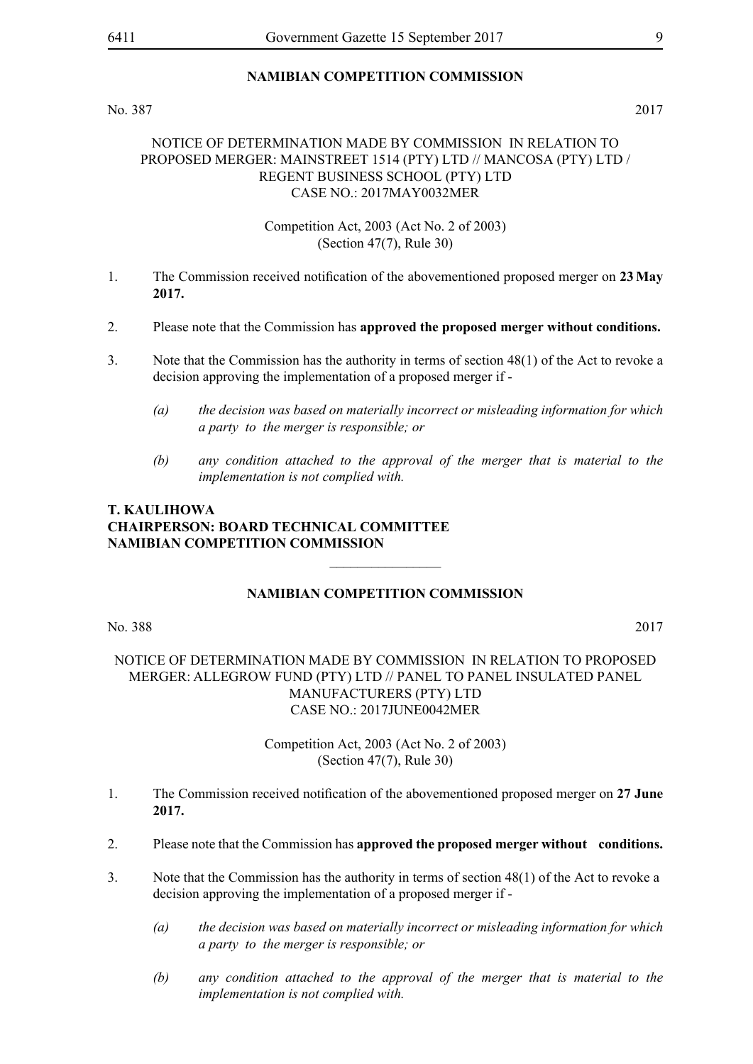#### No. 387 2017

#### NOTICE OF DETERMINATION MADE BY COMMISSION IN RELATION TO PROPOSED MERGER: MAINSTREET 1514 (PTY) LTD // MANCOSA (PTY) LTD / REGENT BUSINESS SCHOOL (PTY) LTD CASE NO.: 2017MAY0032MER

Competition Act, 2003 (Act No. 2 of 2003) (Section 47(7), Rule 30)

- 1. The Commission received notification of the abovementioned proposed merger on **23 May 2017.**
- 2. Please note that the Commission has **approved the proposed merger without conditions.**
- 3. Note that the Commission has the authority in terms of section 48(1) of the Act to revoke a decision approving the implementation of a proposed merger if -
	- *(a) the decision was based on materially incorrect or misleading information for which a party to the merger is responsible; or*
	- *(b) any condition attached to the approval of the merger that is material to the implementation is not complied with.*

### **T. Kaulihowa Chairperson: Board Technical Committee Namibian Competition Commission**

#### **NAMIBIAN COMPETITION COMMISSION**

 $\overline{\phantom{a}}$  , where  $\overline{\phantom{a}}$ 

No. 388 2017

#### NOTICE OF DETERMINATION MADE BY COMMISSION IN RELATION TO PROPOSED MERGER: ALLEGROW FUND (PTY) LTD // PANEL TO PANEL INSULATED PANEL MANUFACTURERS (PTY) LTD CASE NO.: 2017JUNE0042MER

- 1. The Commission received notification of the abovementioned proposed merger on **27 June 2017.**
- 2. Please note that the Commission has **approved the proposed merger without conditions.**
- 3. Note that the Commission has the authority in terms of section 48(1) of the Act to revoke a decision approving the implementation of a proposed merger if -
	- *(a) the decision was based on materially incorrect or misleading information for which a party to the merger is responsible; or*
	- *(b) any condition attached to the approval of the merger that is material to the implementation is not complied with.*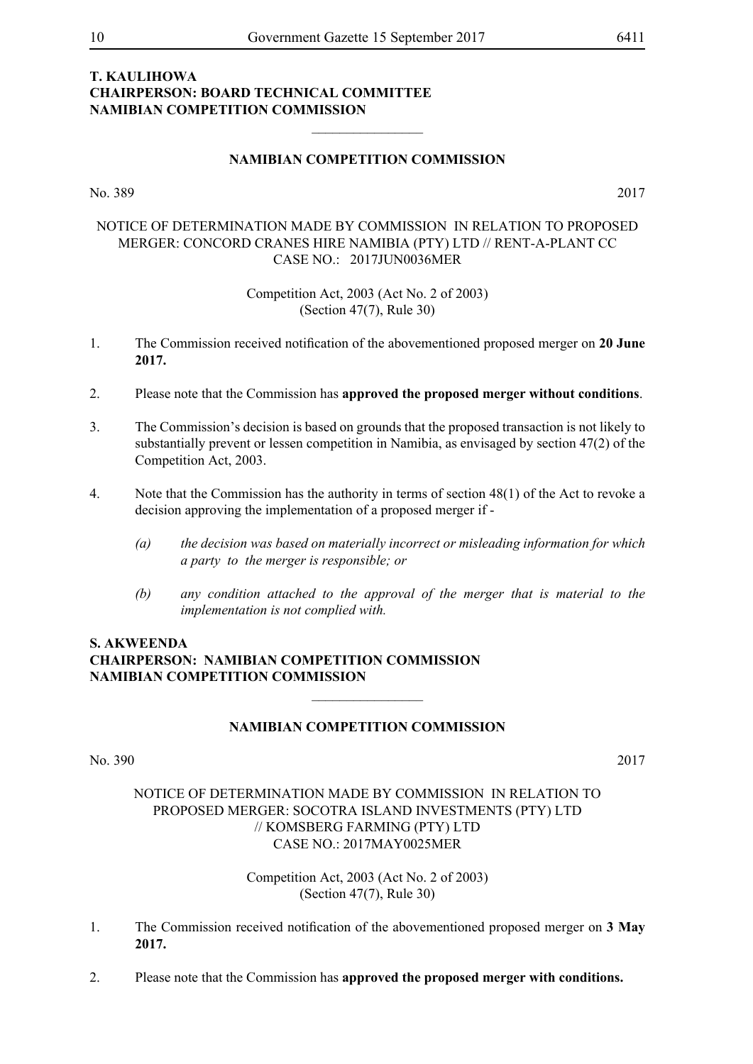#### **NAMIBIAN COMPETITION COMMISSION**

 $\frac{1}{2}$ 

No. 389 2017

#### NOTICE OF DETERMINATION MADE BY COMMISSION IN RELATION TO PROPOSED MERGER: CONCORD CRANES HIRE NAMIBIA (PTY) LTD // RENT-A-PLANT CC CASE NO.: 2017JUN0036MER

Competition Act, 2003 (Act No. 2 of 2003) (Section 47(7), Rule 30)

- 1. The Commission received notification of the abovementioned proposed merger on **20 June 2017.**
- 2. Please note that the Commission has **approved the proposed merger without conditions**.
- 3. The Commission's decision is based on grounds that the proposed transaction is not likely to substantially prevent or lessen competition in Namibia, as envisaged by section 47(2) of the Competition Act, 2003.
- 4. Note that the Commission has the authority in terms of section 48(1) of the Act to revoke a decision approving the implementation of a proposed merger if -
	- *(a) the decision was based on materially incorrect or misleading information for which a party to the merger is responsible; or*
	- *(b) any condition attached to the approval of the merger that is material to the implementation is not complied with.*

### **S. Akweenda Chairperson: Namibian Competition Commission Namibian Competition Commission**

#### **NAMIBIAN COMPETITION COMMISSION**

 $\overline{\phantom{a}}$  , where  $\overline{\phantom{a}}$ 

#### No. 390 2017

#### NOTICE OF DETERMINATION MADE BY COMMISSION IN RELATION TO PROPOSED MERGER: SOCOTRA ISLAND INVESTMENTS (PTY) LTD // KOMSBERG FARMING (PTY) LTD CASE NO.: 2017MAY0025MER

- 1. The Commission received notification of the abovementioned proposed merger on **3 May 2017.**
- 2. Please note that the Commission has **approved the proposed merger with conditions.**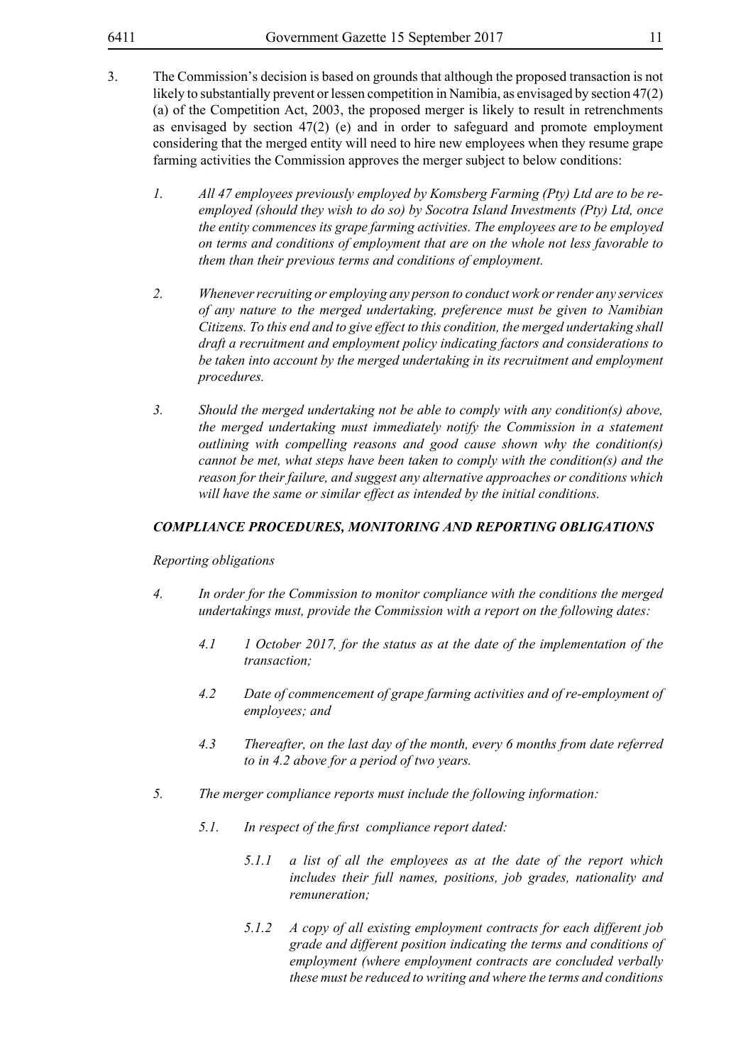- 3. The Commission's decision is based on grounds that although the proposed transaction is not likely to substantially prevent or lessen competition in Namibia, as envisaged by section 47(2) (a) of the Competition Act, 2003, the proposed merger is likely to result in retrenchments as envisaged by section  $47(2)$  (e) and in order to safeguard and promote employment considering that the merged entity will need to hire new employees when they resume grape farming activities the Commission approves the merger subject to below conditions:
	- *1. All 47 employees previously employed by Komsberg Farming (Pty) Ltd are to be reemployed (should they wish to do so) by Socotra Island Investments (Pty) Ltd, once the entity commences its grape farming activities. The employees are to be employed on terms and conditions of employment that are on the whole not less favorable to them than their previous terms and conditions of employment.*
	- *2. Whenever recruiting or employing any person to conduct work or render any services of any nature to the merged undertaking, preference must be given to Namibian Citizens. To this end and to give effect to this condition, the merged undertaking shall draft a recruitment and employment policy indicating factors and considerations to be taken into account by the merged undertaking in its recruitment and employment procedures.*
	- *3. Should the merged undertaking not be able to comply with any condition(s) above, the merged undertaking must immediately notify the Commission in a statement outlining with compelling reasons and good cause shown why the condition(s) cannot be met, what steps have been taken to comply with the condition(s) and the reason for their failure, and suggest any alternative approaches or conditions which will have the same or similar effect as intended by the initial conditions.*

#### *COMPLIANCE PROCEDURES, MONITORING AND REPORTING OBLIGATIONS*

*Reporting obligations*

- *4. In order for the Commission to monitor compliance with the conditions the merged undertakings must, provide the Commission with a report on the following dates:*
	- *4.1 1 October 2017, for the status as at the date of the implementation of the transaction;*
	- *4.2 Date of commencement of grape farming activities and of re-employment of employees; and*
	- *4.3 Thereafter, on the last day of the month, every 6 months from date referred to in 4.2 above for a period of two years.*
- *5. The merger compliance reports must include the following information:*
	- *5.1. In respect of the first compliance report dated:*
		- *5.1.1 a list of all the employees as at the date of the report which includes their full names, positions, job grades, nationality and remuneration;*
		- *5.1.2 A copy of all existing employment contracts for each different job grade and different position indicating the terms and conditions of employment (where employment contracts are concluded verbally these must be reduced to writing and where the terms and conditions*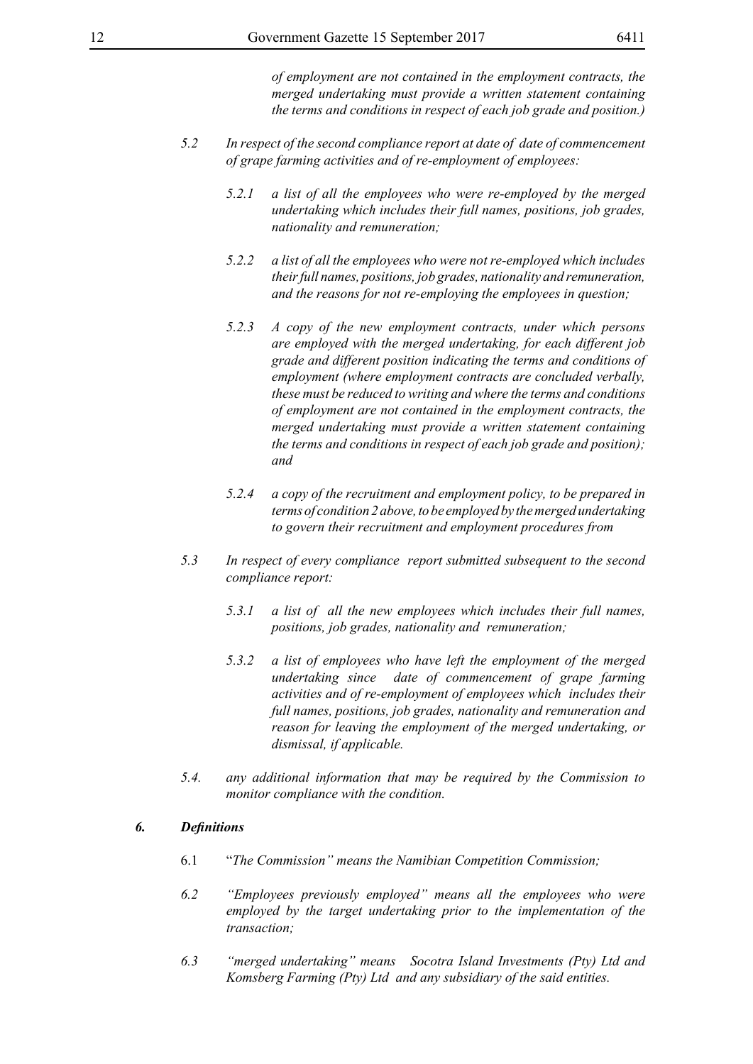*of employment are not contained in the employment contracts, the merged undertaking must provide a written statement containing the terms and conditions in respect of each job grade and position.)*

- *5.2 In respect of the second compliance report at date of date of commencement of grape farming activities and of re-employment of employees:*
	- *5.2.1 a list of all the employees who were re-employed by the merged undertaking which includes their full names, positions, job grades, nationality and remuneration;*
	- *5.2.2 a list of all the employees who were not re-employed which includes their full names, positions, job grades, nationality and remuneration, and the reasons for not re-employing the employees in question;*
	- *5.2.3 A copy of the new employment contracts, under which persons are employed with the merged undertaking, for each different job grade and different position indicating the terms and conditions of employment (where employment contracts are concluded verbally, these must be reduced to writing and where the terms and conditions of employment are not contained in the employment contracts, the merged undertaking must provide a written statement containing the terms and conditions in respect of each job grade and position); and*
	- *5.2.4 a copy of the recruitment and employment policy, to be prepared in terms of condition 2 above, to be employed by the merged undertaking to govern their recruitment and employment procedures from*
- *5.3 In respect of every compliance report submitted subsequent to the second compliance report:*
	- *5.3.1 a list of all the new employees which includes their full names, positions, job grades, nationality and remuneration;*
	- *5.3.2 a list of employees who have left the employment of the merged undertaking since date of commencement of grape farming activities and of re-employment of employees which includes their full names, positions, job grades, nationality and remuneration and reason for leaving the employment of the merged undertaking, or dismissal, if applicable.*
- *5.4. any additional information that may be required by the Commission to monitor compliance with the condition.*

#### *6. Definitions*

- 6.1 "*The Commission" means the Namibian Competition Commission;*
- *6.2 "Employees previously employed" means all the employees who were employed by the target undertaking prior to the implementation of the transaction;*
- *6.3 "merged undertaking" means Socotra Island Investments (Pty) Ltd and Komsberg Farming (Pty) Ltd and any subsidiary of the said entities.*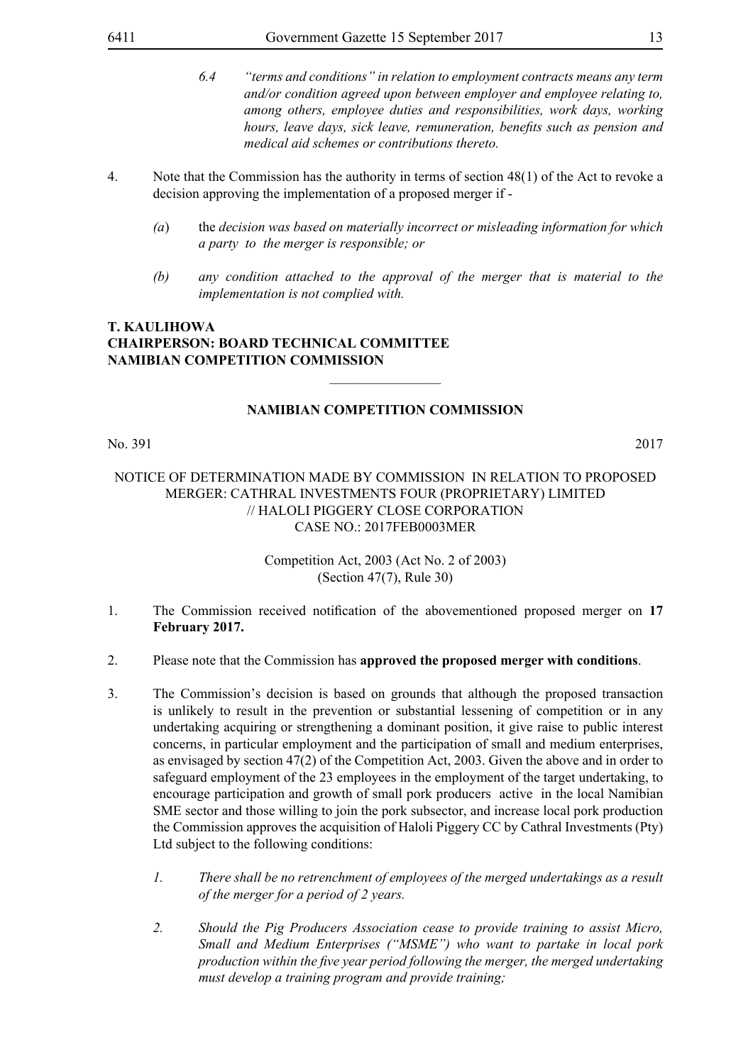- *6.4 "terms and conditions" in relation to employment contracts means any term and/or condition agreed upon between employer and employee relating to, among others, employee duties and responsibilities, work days, working hours, leave days, sick leave, remuneration, benefits such as pension and medical aid schemes or contributions thereto.*
- 4. Note that the Commission has the authority in terms of section 48(1) of the Act to revoke a decision approving the implementation of a proposed merger if -
	- *(a*) the *decision was based on materially incorrect or misleading information for which a party to the merger is responsible; or*
	- *(b) any condition attached to the approval of the merger that is material to the implementation is not complied with.*

#### **NAMIBIAN COMPETITION COMMISSION**

 $\overline{\phantom{a}}$  , where  $\overline{\phantom{a}}$ 

No. 391 2017

#### NOTICE OF DETERMINATION MADE BY COMMISSION IN RELATION TO PROPOSED MERGER: CATHRAL INVESTMENTS FOUR (PROPRIETARY) LIMITED // HALOLI PIGGERY CLOSE CORPORATION CASE NO.: 2017FEB0003MER

- 1. The Commission received notification of the abovementioned proposed merger on **17 February 2017.**
- 2. Please note that the Commission has **approved the proposed merger with conditions**.
- 3. The Commission's decision is based on grounds that although the proposed transaction is unlikely to result in the prevention or substantial lessening of competition or in any undertaking acquiring or strengthening a dominant position, it give raise to public interest concerns, in particular employment and the participation of small and medium enterprises, as envisaged by section 47(2) of the Competition Act, 2003. Given the above and in order to safeguard employment of the 23 employees in the employment of the target undertaking, to encourage participation and growth of small pork producers active in the local Namibian SME sector and those willing to join the pork subsector, and increase local pork production the Commission approves the acquisition of Haloli Piggery CC by Cathral Investments (Pty) Ltd subject to the following conditions:
	- *1. There shall be no retrenchment of employees of the merged undertakings as a result of the merger for a period of 2 years.*
	- *2. Should the Pig Producers Association cease to provide training to assist Micro, Small and Medium Enterprises ("MSME") who want to partake in local pork production within the five year period following the merger, the merged undertaking must develop a training program and provide training;*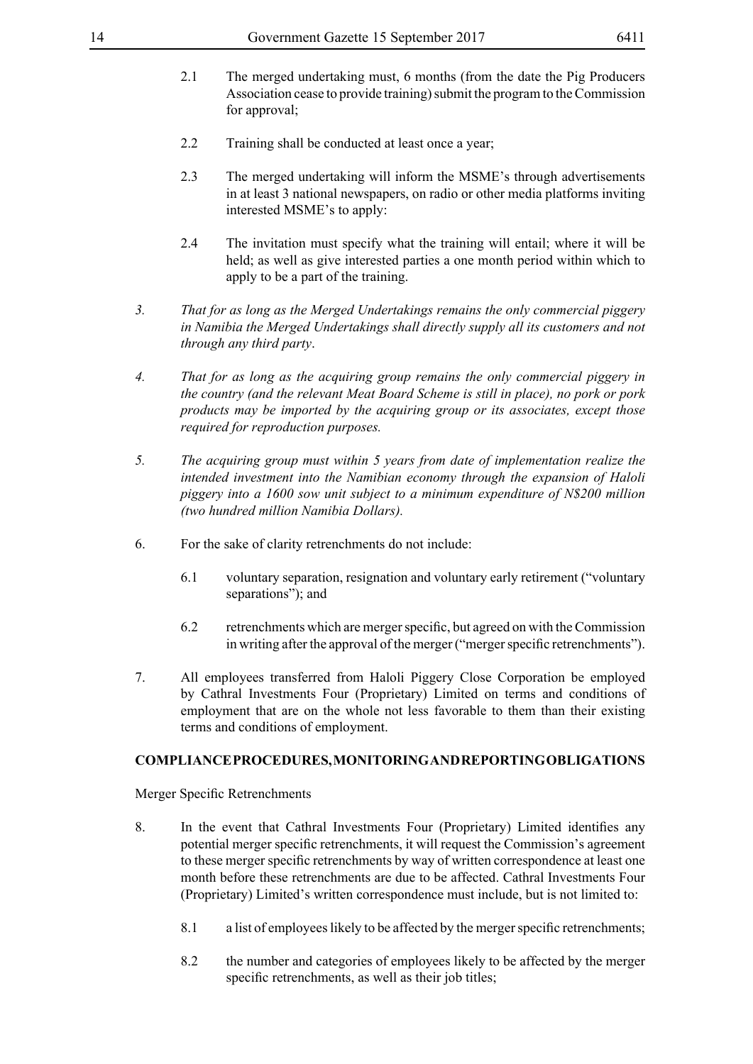- 2.1 The merged undertaking must, 6 months (from the date the Pig Producers Association cease to provide training) submit the program to the Commission for approval;
- 2.2 Training shall be conducted at least once a year;
- 2.3 The merged undertaking will inform the MSME's through advertisements in at least 3 national newspapers, on radio or other media platforms inviting interested MSME's to apply:
- 2.4 The invitation must specify what the training will entail; where it will be held; as well as give interested parties a one month period within which to apply to be a part of the training.
- *3. That for as long as the Merged Undertakings remains the only commercial piggery in Namibia the Merged Undertakings shall directly supply all its customers and not through any third party*.
- *4. That for as long as the acquiring group remains the only commercial piggery in the country (and the relevant Meat Board Scheme is still in place), no pork or pork products may be imported by the acquiring group or its associates, except those required for reproduction purposes.*
- *5. The acquiring group must within 5 years from date of implementation realize the intended investment into the Namibian economy through the expansion of Haloli piggery into a 1600 sow unit subject to a minimum expenditure of N\$200 million (two hundred million Namibia Dollars).*
- 6. For the sake of clarity retrenchments do not include:
	- 6.1 voluntary separation, resignation and voluntary early retirement ("voluntary separations"); and
	- 6.2 retrenchments which are merger specific, but agreed on with the Commission in writing after the approval of the merger ("merger specific retrenchments").
- 7. All employees transferred from Haloli Piggery Close Corporation be employed by Cathral Investments Four (Proprietary) Limited on terms and conditions of employment that are on the whole not less favorable to them than their existing terms and conditions of employment.

#### **COMPLIANCE PROCEDURES, MONITORING AND REPORTING OBLIGATIONS**

Merger Specific Retrenchments

- 8. In the event that Cathral Investments Four (Proprietary) Limited identifies any potential merger specific retrenchments, it will request the Commission's agreement to these merger specific retrenchments by way of written correspondence at least one month before these retrenchments are due to be affected. Cathral Investments Four (Proprietary) Limited's written correspondence must include, but is not limited to:
	- 8.1 a list of employees likely to be affected by the merger specific retrenchments;
	- 8.2 the number and categories of employees likely to be affected by the merger specific retrenchments, as well as their job titles;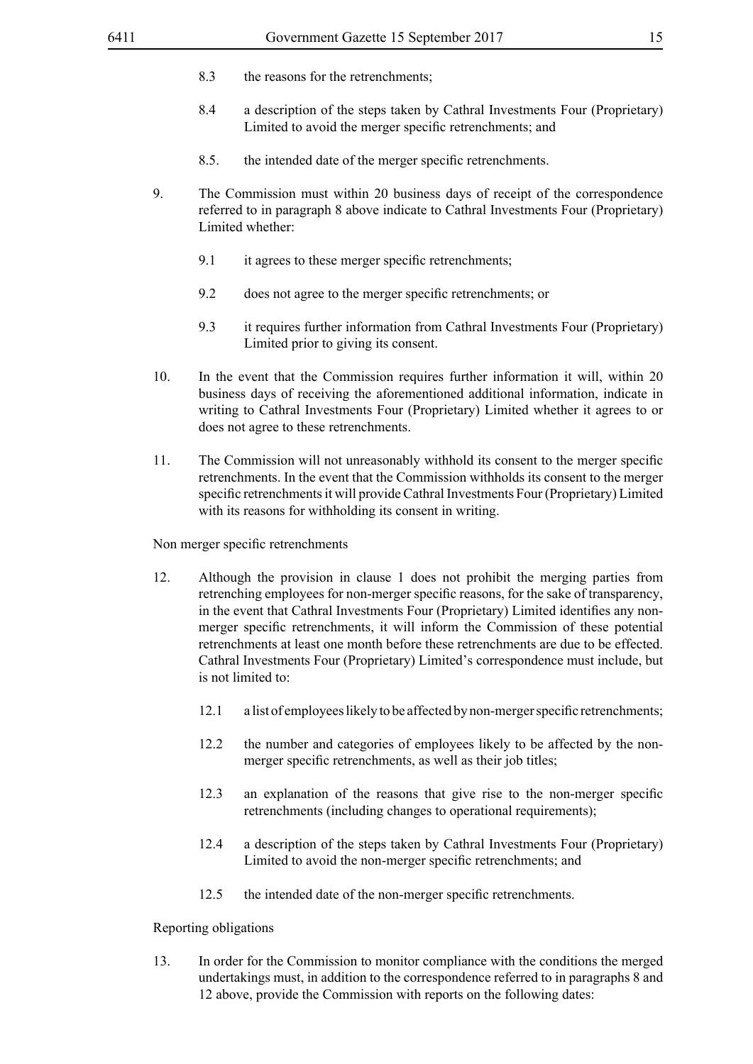- 8.3 the reasons for the retrenchments;
- 8.4 a description of the steps taken by Cathral Investments Four (Proprietary) Limited to avoid the merger specific retrenchments; and
- 8.5. the intended date of the merger specific retrenchments.
- 9. The Commission must within 20 business days of receipt of the correspondence referred to in paragraph 8 above indicate to Cathral Investments Four (Proprietary) Limited whether:
	- 9.1 it agrees to these merger specific retrenchments;
	- 9.2 does not agree to the merger specific retrenchments; or
	- 9.3 it requires further information from Cathral Investments Four (Proprietary) Limited prior to giving its consent.
- 10. In the event that the Commission requires further information it will, within 20 business days of receiving the aforementioned additional information, indicate in writing to Cathral Investments Four (Proprietary) Limited whether it agrees to or does not agree to these retrenchments.
- 11. The Commission will not unreasonably withhold its consent to the merger specific retrenchments. In the event that the Commission withholds its consent to the merger specific retrenchments it will provide Cathral Investments Four (Proprietary) Limited with its reasons for withholding its consent in writing.

Non merger specific retrenchments

- 12. Although the provision in clause 1 does not prohibit the merging parties from retrenching employees for non-merger specific reasons, for the sake of transparency, in the event that Cathral Investments Four (Proprietary) Limited identifies any nonmerger specific retrenchments, it will inform the Commission of these potential retrenchments at least one month before these retrenchments are due to be effected. Cathral Investments Four (Proprietary) Limited's correspondence must include, but is not limited to:
	- 12.1 a list of employees likely to be affected by non-merger specific retrenchments;
	- 12.2 the number and categories of employees likely to be affected by the nonmerger specific retrenchments, as well as their job titles;
	- 12.3 an explanation of the reasons that give rise to the non-merger specific retrenchments (including changes to operational requirements);
	- 12.4 a description of the steps taken by Cathral Investments Four (Proprietary) Limited to avoid the non-merger specific retrenchments; and
	- 12.5 the intended date of the non-merger specific retrenchments.

#### Reporting obligations

13. In order for the Commission to monitor compliance with the conditions the merged undertakings must, in addition to the correspondence referred to in paragraphs 8 and 12 above, provide the Commission with reports on the following dates: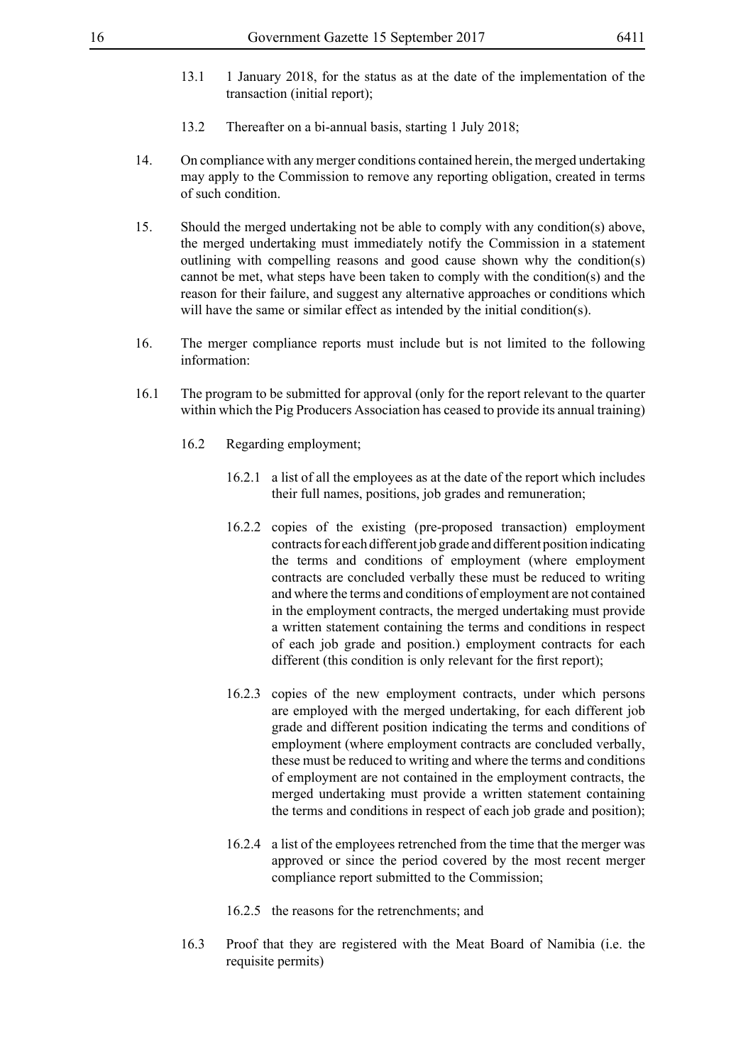- 13.1 1 January 2018, for the status as at the date of the implementation of the transaction (initial report);
- 13.2 Thereafter on a bi-annual basis, starting 1 July 2018;
- 14. On compliance with any merger conditions contained herein, the merged undertaking may apply to the Commission to remove any reporting obligation, created in terms of such condition.
- 15. Should the merged undertaking not be able to comply with any condition(s) above, the merged undertaking must immediately notify the Commission in a statement outlining with compelling reasons and good cause shown why the condition(s) cannot be met, what steps have been taken to comply with the condition(s) and the reason for their failure, and suggest any alternative approaches or conditions which will have the same or similar effect as intended by the initial condition(s).
- 16. The merger compliance reports must include but is not limited to the following information:
- 16.1 The program to be submitted for approval (only for the report relevant to the quarter within which the Pig Producers Association has ceased to provide its annual training)
	- 16.2 Regarding employment;
		- 16.2.1 a list of all the employees as at the date of the report which includes their full names, positions, job grades and remuneration;
		- 16.2.2 copies of the existing (pre-proposed transaction) employment contracts for each different job grade and different position indicating the terms and conditions of employment (where employment contracts are concluded verbally these must be reduced to writing and where the terms and conditions of employment are not contained in the employment contracts, the merged undertaking must provide a written statement containing the terms and conditions in respect of each job grade and position.) employment contracts for each different (this condition is only relevant for the first report);
		- 16.2.3 copies of the new employment contracts, under which persons are employed with the merged undertaking, for each different job grade and different position indicating the terms and conditions of employment (where employment contracts are concluded verbally, these must be reduced to writing and where the terms and conditions of employment are not contained in the employment contracts, the merged undertaking must provide a written statement containing the terms and conditions in respect of each job grade and position);
		- 16.2.4 a list of the employees retrenched from the time that the merger was approved or since the period covered by the most recent merger compliance report submitted to the Commission;
		- 16.2.5 the reasons for the retrenchments; and
	- 16.3 Proof that they are registered with the Meat Board of Namibia (i.e. the requisite permits)